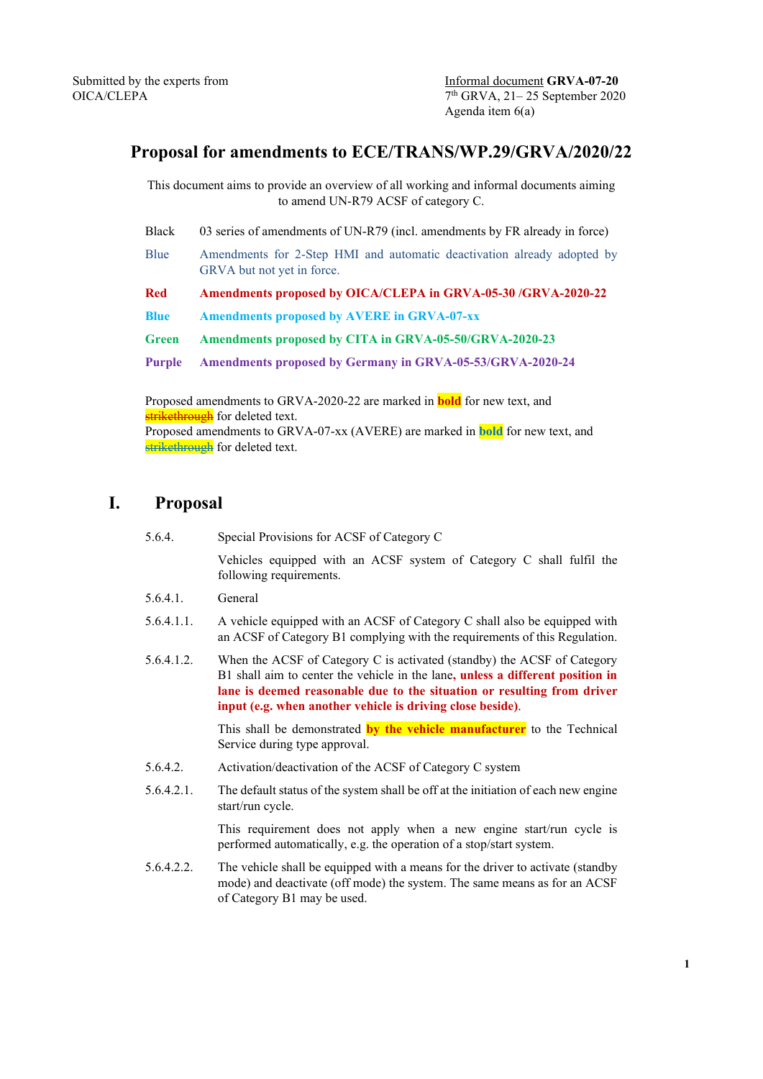## **Proposal for amendments to ECE/TRANS/WP.29/GRVA/2020/22**

This document aims to provide an overview of all working and informal documents aiming to amend UN-R79 ACSF of category C.

Black 03 series of amendments of UN-R79 (incl. amendments by FR already in force) Blue Amendments for 2-Step HMI and automatic deactivation already adopted by GRVA but not yet in force. **Red Amendments proposed by OICA/CLEPA in GRVA-05-30 /GRVA-2020-22 Blue Amendments proposed by AVERE in GRVA-07-xx Green Amendments proposed by CITA in GRVA-05-50/GRVA-2020-23 Purple Amendments proposed by Germany in GRVA-05-53/GRVA-2020-24**

Proposed amendments to GRVA-2020-22 are marked in **bold** for new text, and strikethrough for deleted text. Proposed amendments to GRVA-07-xx (AVERE) are marked in **bold** for new text, and strikethrough for deleted text.

## **I. Proposal**

| 5.6.4.     | Special Provisions for ACSF of Category C                                                                                                                                                                                                                                                          |  |  |
|------------|----------------------------------------------------------------------------------------------------------------------------------------------------------------------------------------------------------------------------------------------------------------------------------------------------|--|--|
|            | Vehicles equipped with an ACSF system of Category C shall fulfil the<br>following requirements.                                                                                                                                                                                                    |  |  |
| 5.6.4.1.   | General                                                                                                                                                                                                                                                                                            |  |  |
| 5.6.4.1.1. | A vehicle equipped with an ACSF of Category C shall also be equipped with<br>an ACSF of Category B1 complying with the requirements of this Regulation.                                                                                                                                            |  |  |
| 5.6.4.1.2. | When the ACSF of Category C is activated (standby) the ACSF of Category<br>B1 shall aim to center the vehicle in the lane, unless a different position in<br>lane is deemed reasonable due to the situation or resulting from driver<br>input (e.g. when another vehicle is driving close beside). |  |  |
|            | This shall be demonstrated by the vehicle manufacturer to the Technical<br>Service during type approval.                                                                                                                                                                                           |  |  |
| 5.6.4.2.   | Activation/deactivation of the ACSF of Category C system                                                                                                                                                                                                                                           |  |  |
| 5.6.4.2.1. | The default status of the system shall be off at the initiation of each new engine<br>start/run cycle.                                                                                                                                                                                             |  |  |
|            | This requirement does not apply when a new engine start/run cycle is<br>performed automatically, e.g. the operation of a stop/start system.                                                                                                                                                        |  |  |
| 5.6.4.2.2. | The vehicle shall be equipped with a means for the driver to activate (standby<br>mode) and deactivate (off mode) the system. The same means as for an ACSF<br>of Category B1 may be used.                                                                                                         |  |  |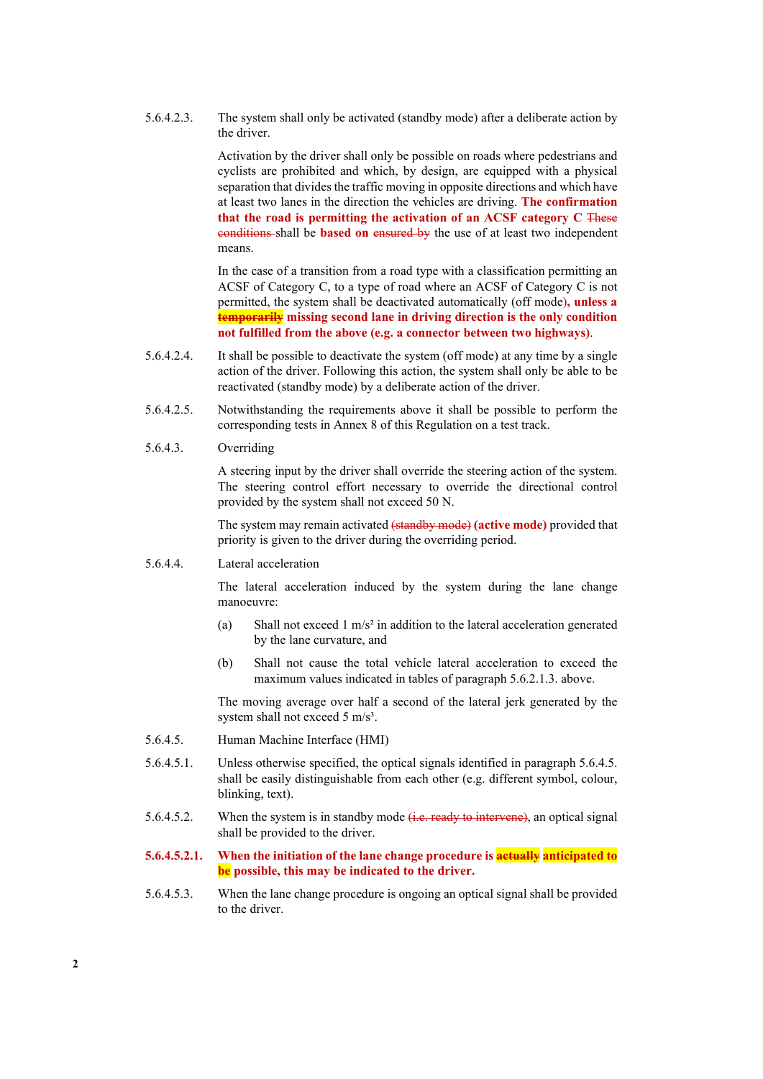5.6.4.2.3. The system shall only be activated (standby mode) after a deliberate action by the driver.

> Activation by the driver shall only be possible on roads where pedestrians and cyclists are prohibited and which, by design, are equipped with a physical separation that divides the traffic moving in opposite directions and which have at least two lanes in the direction the vehicles are driving. **The confirmation that the road is permitting the activation of an ACSF category C** These conditions shall be **based on** ensured by the use of at least two independent means.

> In the case of a transition from a road type with a classification permitting an ACSF of Category C, to a type of road where an ACSF of Category C is not permitted, the system shall be deactivated automatically (off mode)**, unless a temporarily missing second lane in driving direction is the only condition not fulfilled from the above (e.g. a connector between two highways)**.

- 5.6.4.2.4. It shall be possible to deactivate the system (off mode) at any time by a single action of the driver. Following this action, the system shall only be able to be reactivated (standby mode) by a deliberate action of the driver.
- 5.6.4.2.5. Notwithstanding the requirements above it shall be possible to perform the corresponding tests in Annex 8 of this Regulation on a test track.
- 5.6.4.3. Overriding

A steering input by the driver shall override the steering action of the system. The steering control effort necessary to override the directional control provided by the system shall not exceed 50 N.

The system may remain activated (standby mode) **(active mode)** provided that priority is given to the driver during the overriding period.

5.6.4.4. Lateral acceleration

The lateral acceleration induced by the system during the lane change manoeuvre:

- (a) Shall not exceed 1 m/s<sup>2</sup> in addition to the lateral acceleration generated by the lane curvature, and
- (b) Shall not cause the total vehicle lateral acceleration to exceed the maximum values indicated in tables of paragraph 5.6.2.1.3. above.

The moving average over half a second of the lateral jerk generated by the system shall not exceed 5 m/s<sup>3</sup>.

- 5.6.4.5. Human Machine Interface (HMI)
- 5.6.4.5.1. Unless otherwise specified, the optical signals identified in paragraph 5.6.4.5. shall be easily distinguishable from each other (e.g. different symbol, colour, blinking, text).
- 5.6.4.5.2. When the system is in standby mode  $(i.e.$  ready to intervene), an optical signal shall be provided to the driver.
- **5.6.4.5.2.1. When the initiation of the lane change procedure is actually anticipated to be possible, this may be indicated to the driver.**
- 5.6.4.5.3. When the lane change procedure is ongoing an optical signal shall be provided to the driver.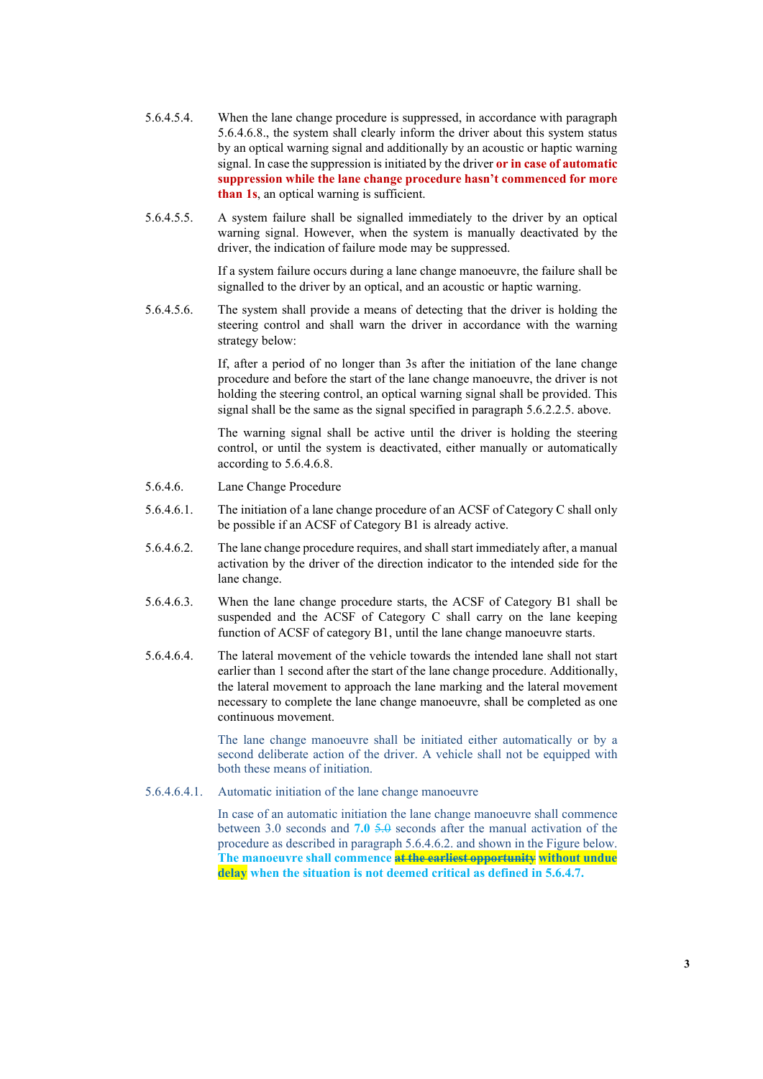- 5.6.4.5.4. When the lane change procedure is suppressed, in accordance with paragraph 5.6.4.6.8., the system shall clearly inform the driver about this system status by an optical warning signal and additionally by an acoustic or haptic warning signal. In case the suppression is initiated by the driver **or in case of automatic suppression while the lane change procedure hasn't commenced for more than 1s**, an optical warning is sufficient.
- 5.6.4.5.5. A system failure shall be signalled immediately to the driver by an optical warning signal. However, when the system is manually deactivated by the driver, the indication of failure mode may be suppressed.

If a system failure occurs during a lane change manoeuvre, the failure shall be signalled to the driver by an optical, and an acoustic or haptic warning.

5.6.4.5.6. The system shall provide a means of detecting that the driver is holding the steering control and shall warn the driver in accordance with the warning strategy below:

> If, after a period of no longer than 3s after the initiation of the lane change procedure and before the start of the lane change manoeuvre, the driver is not holding the steering control, an optical warning signal shall be provided. This signal shall be the same as the signal specified in paragraph 5.6.2.2.5. above.

> The warning signal shall be active until the driver is holding the steering control, or until the system is deactivated, either manually or automatically according to 5.6.4.6.8.

- 5.6.4.6. Lane Change Procedure
- 5.6.4.6.1. The initiation of a lane change procedure of an ACSF of Category C shall only be possible if an ACSF of Category B1 is already active.
- 5.6.4.6.2. The lane change procedure requires, and shall start immediately after, a manual activation by the driver of the direction indicator to the intended side for the lane change.
- 5.6.4.6.3. When the lane change procedure starts, the ACSF of Category B1 shall be suspended and the ACSF of Category C shall carry on the lane keeping function of ACSF of category B1, until the lane change manoeuvre starts.
- 5.6.4.6.4. The lateral movement of the vehicle towards the intended lane shall not start earlier than 1 second after the start of the lane change procedure. Additionally, the lateral movement to approach the lane marking and the lateral movement necessary to complete the lane change manoeuvre, shall be completed as one continuous movement.

The lane change manoeuvre shall be initiated either automatically or by a second deliberate action of the driver. A vehicle shall not be equipped with both these means of initiation.

5.6.4.6.4.1. Automatic initiation of the lane change manoeuvre

In case of an automatic initiation the lane change manoeuvre shall commence between 3.0 seconds and **7.0** 5.0 seconds after the manual activation of the procedure as described in paragraph 5.6.4.6.2. and shown in the Figure below. **The manoeuvre shall commence at the earliest opportunity without undue delay when the situation is not deemed critical as defined in 5.6.4.7.**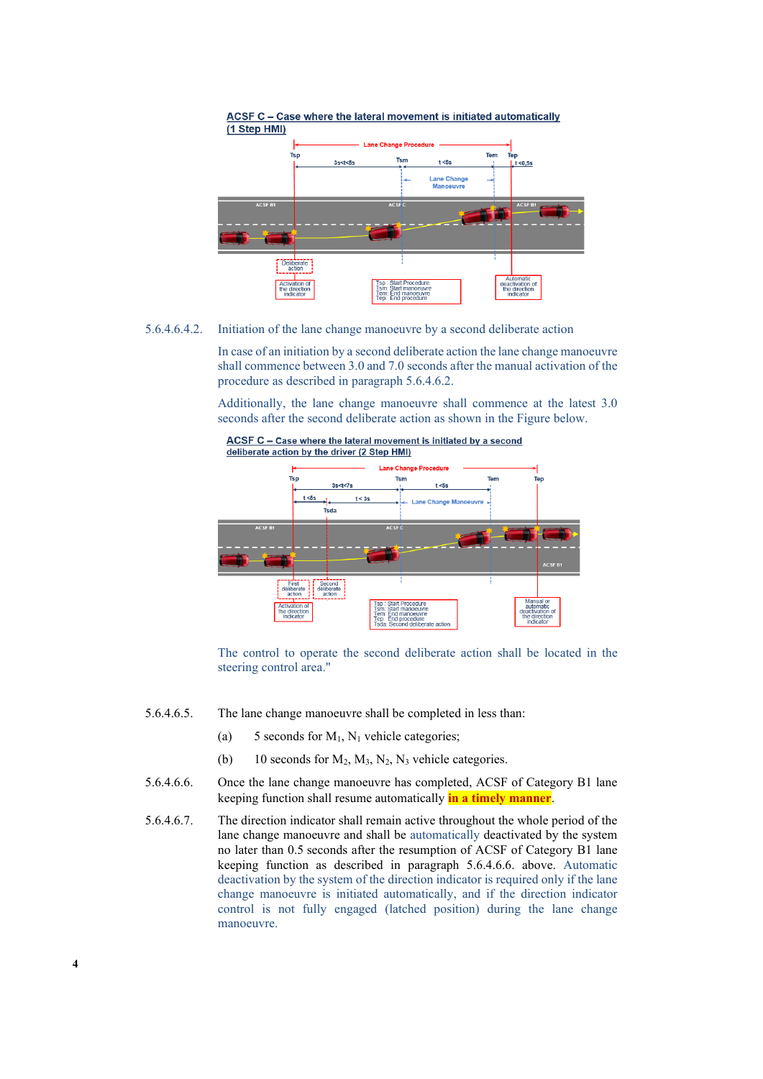

5.6.4.6.4.2. Initiation of the lane change manoeuvre by a second deliberate action

In case of an initiation by a second deliberate action the lane change manoeuvre shall commence between 3.0 and 7.0 seconds after the manual activation of the procedure as described in paragraph 5.6.4.6.2.

Additionally, the lane change manoeuvre shall commence at the latest 3.0 seconds after the second deliberate action as shown in the Figure below.



The control to operate the second deliberate action shall be located in the steering control area."

- 5.6.4.6.5. The lane change manoeuvre shall be completed in less than:
	- (a) 5 seconds for  $M_1$ ,  $N_1$  vehicle categories;
	- (b) 10 seconds for  $M_2$ ,  $M_3$ ,  $N_2$ ,  $N_3$  vehicle categories.
- 5.6.4.6.6. Once the lane change manoeuvre has completed, ACSF of Category B1 lane keeping function shall resume automatically **in a timely manner**.
- 5.6.4.6.7. The direction indicator shall remain active throughout the whole period of the lane change manoeuvre and shall be automatically deactivated by the system no later than 0.5 seconds after the resumption of ACSF of Category B1 lane keeping function as described in paragraph 5.6.4.6.6. above. Automatic deactivation by the system of the direction indicator is required only if the lane change manoeuvre is initiated automatically, and if the direction indicator control is not fully engaged (latched position) during the lane change manoeuvre.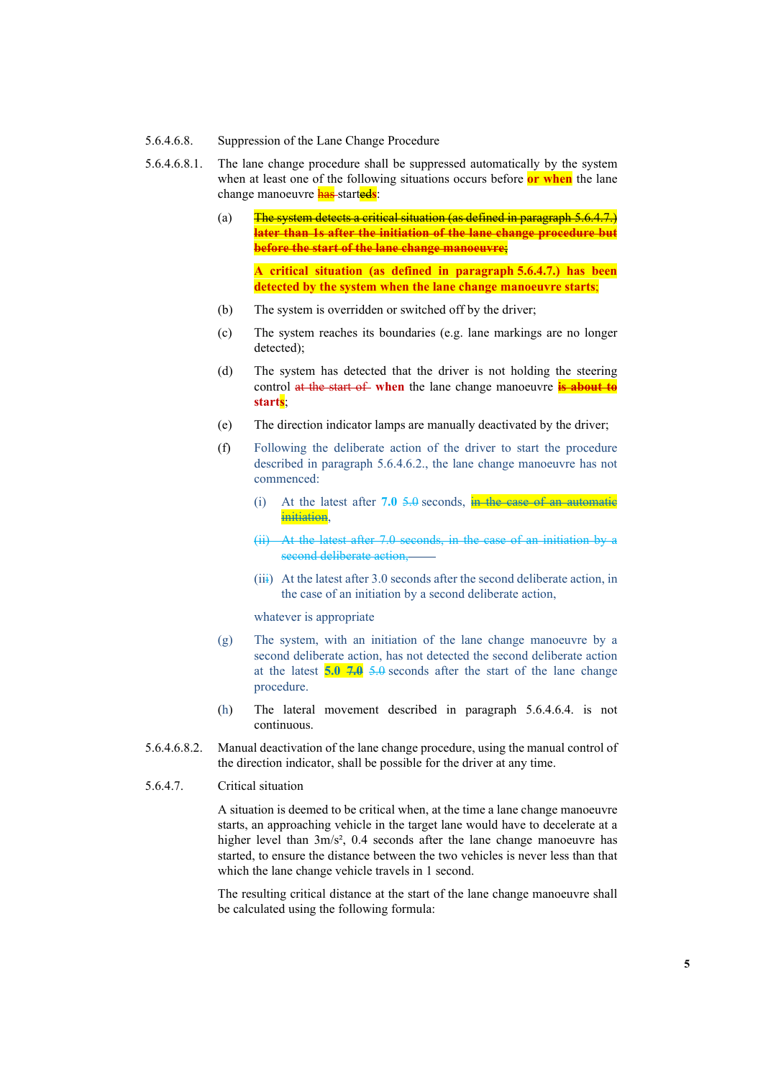- 5.6.4.6.8. Suppression of the Lane Change Procedure
- 5.6.4.6.8.1. The lane change procedure shall be suppressed automatically by the system when at least one of the following situations occurs before **or when** the lane change manoeuvre has started**s**:
	- (a) The system detects a critical situation (as defined in paragraph 5.6.4.7.) **later than 1s after the initiation of the lane change procedure but before the start of the lane change manoeuvre**; **A critical situation (as defined in paragraph 5.6.4.7.) has been detected by the system when the lane change manoeuvre starts**;
	- (b) The system is overridden or switched off by the driver;
	- (c) The system reaches its boundaries (e.g. lane markings are no longer detected);
	- (d) The system has detected that the driver is not holding the steering control at the start of **when** the lane change manoeuvre **is about to starts**;
	- (e) The direction indicator lamps are manually deactivated by the driver;
	- (f) Following the deliberate action of the driver to start the procedure described in paragraph 5.6.4.6.2., the lane change manoeuvre has not commenced:
		- (i) At the latest after **7.0** 5.0 seconds, in the case of an automatic initiation,
		- (ii) At the latest after 7.0 seconds, in the case of an initiation by a second deliberate action,
		- $(iii)$  At the latest after 3.0 seconds after the second deliberate action, in the case of an initiation by a second deliberate action,

whatever is appropriate

- (g) The system, with an initiation of the lane change manoeuvre by a second deliberate action, has not detected the second deliberate action at the latest **5.0 7.0** 5.0 seconds after the start of the lane change procedure.
- (h) The lateral movement described in paragraph 5.6.4.6.4. is not continuous.
- 5.6.4.6.8.2. Manual deactivation of the lane change procedure, using the manual control of the direction indicator, shall be possible for the driver at any time.
- 5.6.4.7. Critical situation

A situation is deemed to be critical when, at the time a lane change manoeuvre starts, an approaching vehicle in the target lane would have to decelerate at a higher level than  $3m/s^2$ , 0.4 seconds after the lane change manoeuvre has started, to ensure the distance between the two vehicles is never less than that which the lane change vehicle travels in 1 second.

The resulting critical distance at the start of the lane change manoeuvre shall be calculated using the following formula: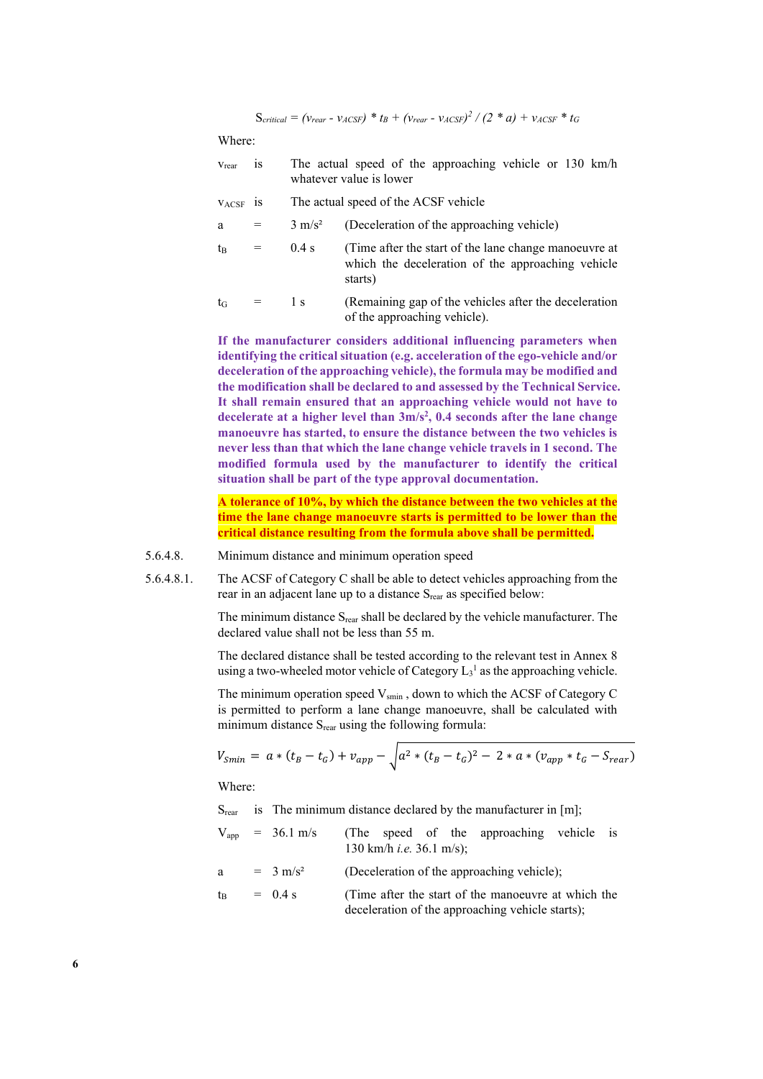$S_{critical} = (v_{rear} - v_{ACSF}) * t_B + (v_{rear} - v_{ACSF})^2 / (2 * a) + v_{ACSF} * t_G$ 

#### Where:

| $V_{\text{rear}}$ 1S | The actual speed of the approaching vehicle or 130 km/h<br>whatever value is lower |  |  |  |  |
|----------------------|------------------------------------------------------------------------------------|--|--|--|--|
| $V_{\text{ACSF}}$ 1S | The actual speed of the ACSF vehicle                                               |  |  |  |  |

 $a = 3$  m/s<sup>2</sup> (Deceleration of the approaching vehicle)

| $t_{\rm B}$ | $=$ | $0.4$ s | (Time after the start of the lane change manoeuvre at<br>which the deceleration of the approaching vehicle<br>starts) |                            |  |  |  |
|-------------|-----|---------|-----------------------------------------------------------------------------------------------------------------------|----------------------------|--|--|--|
|             |     |         |                                                                                                                       | $0.1 \t 1.1 \t 0.1 \t 1.1$ |  |  |  |

 $t_G$  = 1 s (Remaining gap of the vehicles after the deceleration of the approaching vehicle).

**If the manufacturer considers additional influencing parameters when identifying the critical situation (e.g. acceleration of the ego-vehicle and/or deceleration of the approaching vehicle), the formula may be modified and the modification shall be declared to and assessed by the Technical Service. It shall remain ensured that an approaching vehicle would not have to decelerate at a higher level than 3m/s2 , 0.4 seconds after the lane change manoeuvre has started, to ensure the distance between the two vehicles is never less than that which the lane change vehicle travels in 1 second. The modified formula used by the manufacturer to identify the critical situation shall be part of the type approval documentation.**

**A tolerance of 10%, by which the distance between the two vehicles at the time the lane change manoeuvre starts is permitted to be lower than the critical distance resulting from the formula above shall be permitted.**

- 5.6.4.8. Minimum distance and minimum operation speed
- 5.6.4.8.1. The ACSF of Category C shall be able to detect vehicles approaching from the rear in an adjacent lane up to a distance S<sub>rear</sub> as specified below:

The minimum distance S<sub>rear</sub> shall be declared by the vehicle manufacturer. The declared value shall not be less than 55 m.

The declared distance shall be tested according to the relevant test in Annex 8 using a two-wheeled motor vehicle of Category  $L_3$ <sup>1</sup> as the approaching vehicle.

The minimum operation speed  $V_{\text{smin}}$ , down to which the ACSF of Category C is permitted to perform a lane change manoeuvre, shall be calculated with minimum distance S<sub>rear</sub> using the following formula:

$$
V_{Smin} = a * (t_B - t_G) + v_{app} - \sqrt{a^2 * (t_B - t_G)^2 - 2 * a * (v_{app} * t_G - S_{rear})}
$$

Where:

S<sub>rear</sub> is The minimum distance declared by the manufacturer in [m];

- $V_{app}$  = 36.1 m/s (The speed of the approaching vehicle is 130 km/h *i.e.* 36.1 m/s);
- a =  $3 \text{ m/s}^2$  (Deceleration of the approaching vehicle);

$$
t_B
$$
 = 0.4 s (Time after the start of the manoeuvre at which the deceleration of the approaching vehicle starts);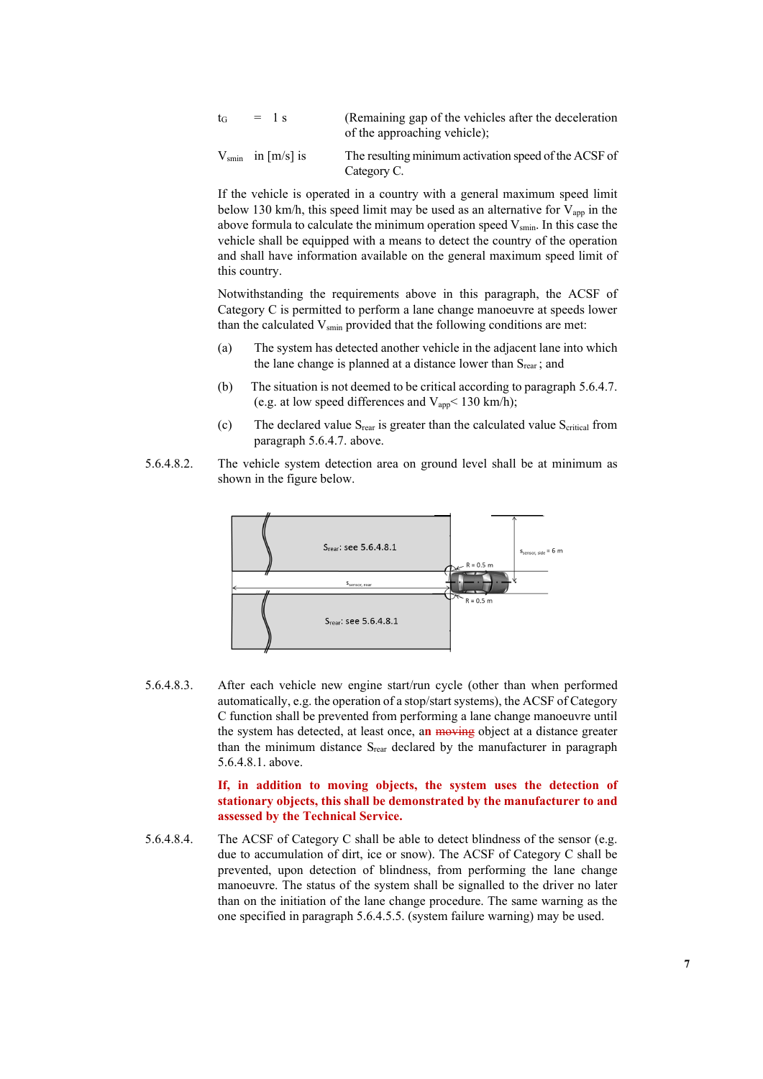| $t_G = \frac{1}{1}S$ | (Remaining gap of the vehicles after the deceleration |
|----------------------|-------------------------------------------------------|
|                      | of the approaching vehicle);                          |

 $V_{\text{smin}}$  in [m/s] is The resulting minimum activation speed of the ACSF of Category C.

If the vehicle is operated in a country with a general maximum speed limit below 130 km/h, this speed limit may be used as an alternative for  $V_{app}$  in the above formula to calculate the minimum operation speed  $V_{\text{smin}}$ . In this case the vehicle shall be equipped with a means to detect the country of the operation and shall have information available on the general maximum speed limit of this country.

Notwithstanding the requirements above in this paragraph, the ACSF of Category C is permitted to perform a lane change manoeuvre at speeds lower than the calculated  $V_{\text{smin}}$  provided that the following conditions are met:

- (a) The system has detected another vehicle in the adjacent lane into which the lane change is planned at a distance lower than  $S<sub>rear</sub>$ ; and
- (b) The situation is not deemed to be critical according to paragraph 5.6.4.7. (e.g. at low speed differences and  $V_{app}$  < 130 km/h);
- (c) The declared value  $S_{\text{rear}}$  is greater than the calculated value  $S_{\text{critical}}$  from paragraph 5.6.4.7. above.
- 5.6.4.8.2. The vehicle system detection area on ground level shall be at minimum as shown in the figure below.



5.6.4.8.3. After each vehicle new engine start/run cycle (other than when performed automatically, e.g. the operation of a stop/start systems), the ACSF of Category C function shall be prevented from performing a lane change manoeuvre until the system has detected, at least once, a**n** moving object at a distance greater than the minimum distance  $S_{\text{rear}}$  declared by the manufacturer in paragraph 5.6.4.8.1. above.

> **If, in addition to moving objects, the system uses the detection of stationary objects, this shall be demonstrated by the manufacturer to and assessed by the Technical Service.**

5.6.4.8.4. The ACSF of Category C shall be able to detect blindness of the sensor (e.g. due to accumulation of dirt, ice or snow). The ACSF of Category C shall be prevented, upon detection of blindness, from performing the lane change manoeuvre. The status of the system shall be signalled to the driver no later than on the initiation of the lane change procedure. The same warning as the one specified in paragraph 5.6.4.5.5. (system failure warning) may be used.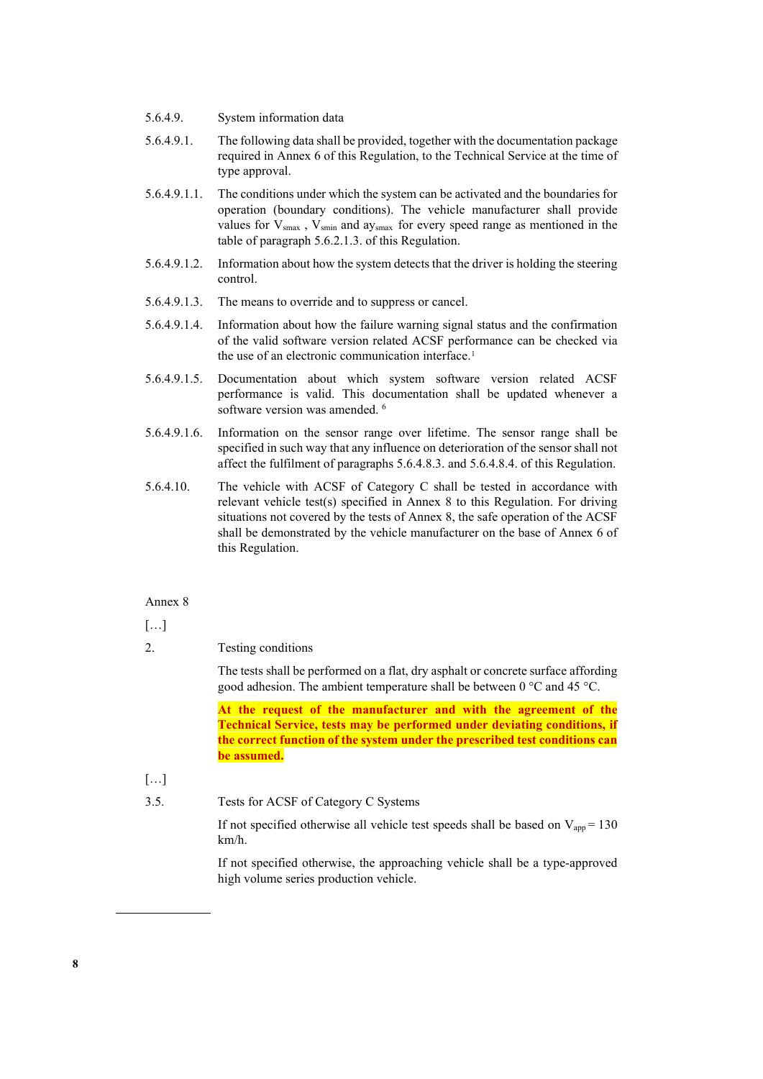- 5.6.4.9. System information data
- 5.6.4.9.1. The following data shall be provided, together with the documentation package required in Annex 6 of this Regulation, to the Technical Service at the time of type approval.
- 5.6.4.9.1.1. The conditions under which the system can be activated and the boundaries for operation (boundary conditions). The vehicle manufacturer shall provide values for  $V_{smax}$ ,  $V_{smin}$  and ay<sub>smax</sub> for every speed range as mentioned in the table of paragraph 5.6.2.1.3. of this Regulation.
- 5.6.4.9.1.2. Information about how the system detects that the driver is holding the steering control.
- 5.6.4.9.1.3. The means to override and to suppress or cancel.
- 5.6.4.9.1.4. Information about how the failure warning signal status and the confirmation of the valid software version related ACSF performance can be checked via the use of an electronic communication interface.<sup>[1](#page-7-0)</sup>
- 5.6.4.9.1.5. Documentation about which system software version related ACSF performance is valid. This documentation shall be updated whenever a software version was amended. <sup>6</sup>
- 5.6.4.9.1.6. Information on the sensor range over lifetime. The sensor range shall be specified in such way that any influence on deterioration of the sensor shall not affect the fulfilment of paragraphs 5.6.4.8.3. and 5.6.4.8.4. of this Regulation.
- 5.6.4.10. The vehicle with ACSF of Category C shall be tested in accordance with relevant vehicle test(s) specified in Annex 8 to this Regulation. For driving situations not covered by the tests of Annex 8, the safe operation of the ACSF shall be demonstrated by the vehicle manufacturer on the base of Annex 6 of this Regulation.

### Annex 8

 $[\ldots]$ 

2. Testing conditions

The tests shall be performed on a flat, dry asphalt or concrete surface affording good adhesion. The ambient temperature shall be between  $0^{\circ}$ C and 45  $^{\circ}$ C.

**At the request of the manufacturer and with the agreement of the Technical Service, tests may be performed under deviating conditions, if the correct function of the system under the prescribed test conditions can be assumed.**

- $[\dots]$
- <span id="page-7-0"></span>3.5. Tests for ACSF of Category C Systems

If not specified otherwise all vehicle test speeds shall be based on  $V_{app} = 130$ km/h.

If not specified otherwise, the approaching vehicle shall be a type-approved high volume series production vehicle.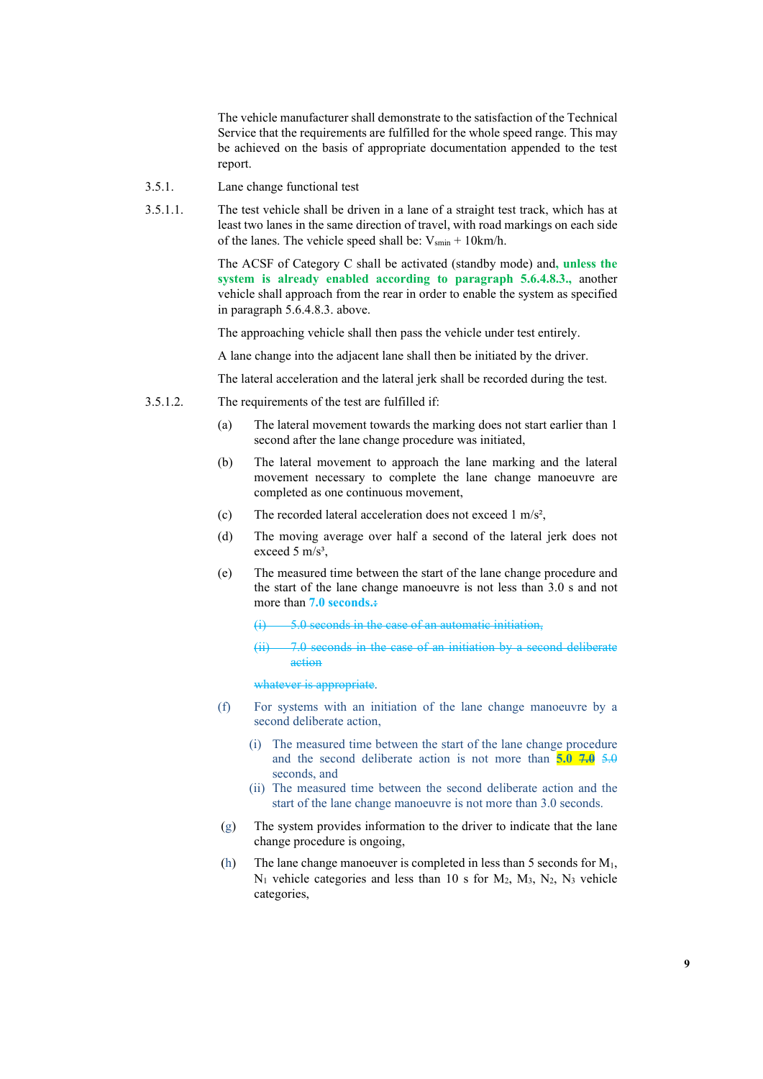The vehicle manufacturer shall demonstrate to the satisfaction of the Technical Service that the requirements are fulfilled for the whole speed range. This may be achieved on the basis of appropriate documentation appended to the test report.

- 3.5.1. Lane change functional test
- 3.5.1.1. The test vehicle shall be driven in a lane of a straight test track, which has at least two lanes in the same direction of travel, with road markings on each side of the lanes. The vehicle speed shall be:  $V_{smin} + 10km/h$ .

The ACSF of Category C shall be activated (standby mode) and**, unless the system is already enabled according to paragraph 5.6.4.8.3.,** another vehicle shall approach from the rear in order to enable the system as specified in paragraph 5.6.4.8.3. above.

The approaching vehicle shall then pass the vehicle under test entirely.

A lane change into the adjacent lane shall then be initiated by the driver.

The lateral acceleration and the lateral jerk shall be recorded during the test.

- 3.5.1.2. The requirements of the test are fulfilled if:
	- (a) The lateral movement towards the marking does not start earlier than 1 second after the lane change procedure was initiated,
	- (b) The lateral movement to approach the lane marking and the lateral movement necessary to complete the lane change manoeuvre are completed as one continuous movement,
	- (c) The recorded lateral acceleration does not exceed  $1 \text{ m/s}^2$ ,
	- (d) The moving average over half a second of the lateral jerk does not exceed 5 m/s<sup>3</sup>,
	- (e) The measured time between the start of the lane change procedure and the start of the lane change manoeuvre is not less than 3.0 s and not more than **7.0 seconds.:**

5.0 seconds in the case of an automatic initiation,

(ii) 7.0 seconds in the case of an initiation by a second deliberate action

whatever is appropriate.

- (f) For systems with an initiation of the lane change manoeuvre by a second deliberate action,
	- (i) The measured time between the start of the lane change procedure and the second deliberate action is not more than **5.0 7.0** 5.0 seconds, and
	- (ii) The measured time between the second deliberate action and the start of the lane change manoeuvre is not more than 3.0 seconds.
- (g) The system provides information to the driver to indicate that the lane change procedure is ongoing,
- (h) The lane change manoeuver is completed in less than 5 seconds for  $M_1$ ,  $N_1$  vehicle categories and less than 10 s for  $M_2$ ,  $M_3$ ,  $N_2$ ,  $N_3$  vehicle categories,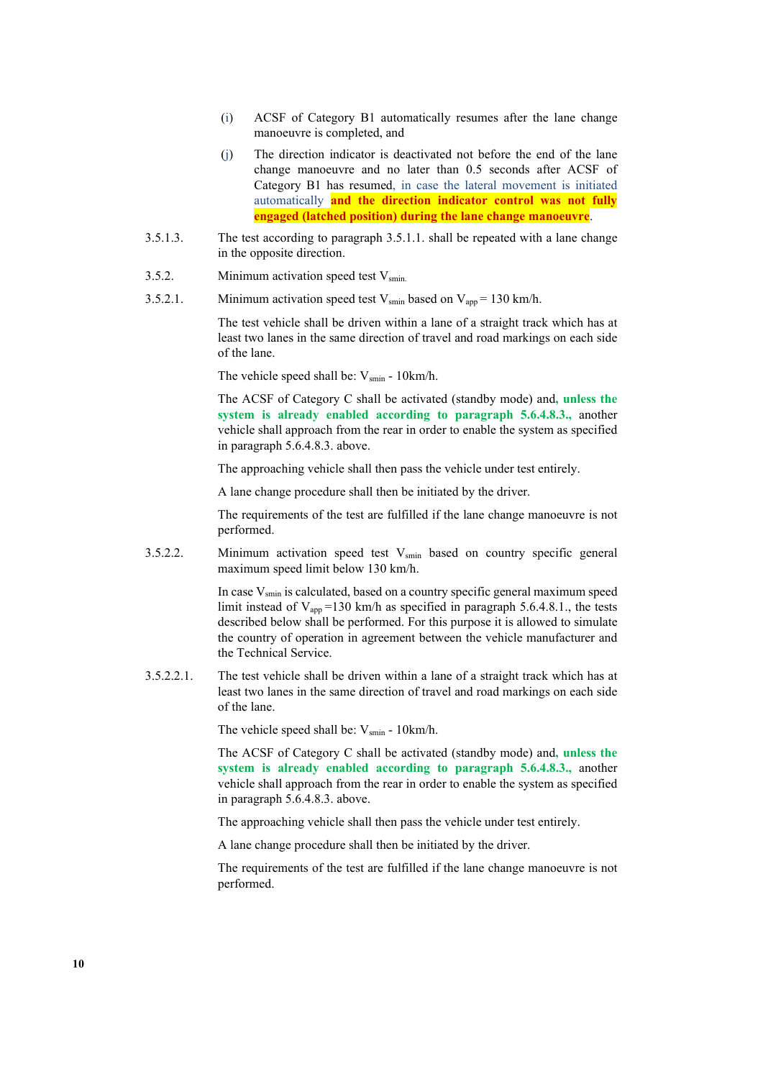- (i) ACSF of Category B1 automatically resumes after the lane change manoeuvre is completed, and
- (j) The direction indicator is deactivated not before the end of the lane change manoeuvre and no later than 0.5 seconds after ACSF of Category B1 has resumed, in case the lateral movement is initiated automatically **and the direction indicator control was not fully engaged (latched position) during the lane change manoeuvre**.
- 3.5.1.3. The test according to paragraph 3.5.1.1. shall be repeated with a lane change in the opposite direction.
- 3.5.2. Minimum activation speed test  $V_{\text{smin}}$ .
- 3.5.2.1. Minimum activation speed test  $V_{\text{smin}}$  based on  $V_{\text{app}} = 130 \text{ km/h}$ .

The test vehicle shall be driven within a lane of a straight track which has at least two lanes in the same direction of travel and road markings on each side of the lane.

The vehicle speed shall be:  $V_{\text{smin}}$  - 10km/h.

The ACSF of Category C shall be activated (standby mode) and**, unless the system is already enabled according to paragraph 5.6.4.8.3.,** another vehicle shall approach from the rear in order to enable the system as specified in paragraph 5.6.4.8.3. above.

The approaching vehicle shall then pass the vehicle under test entirely.

A lane change procedure shall then be initiated by the driver.

The requirements of the test are fulfilled if the lane change manoeuvre is not performed.

3.5.2.2. Minimum activation speed test  $V_{\text{smin}}$  based on country specific general maximum speed limit below 130 km/h.

> In case  $V_{\text{smin}}$  is calculated, based on a country specific general maximum speed limit instead of  $V_{app}$ =130 km/h as specified in paragraph 5.6.4.8.1., the tests described below shall be performed. For this purpose it is allowed to simulate the country of operation in agreement between the vehicle manufacturer and the Technical Service.

3.5.2.2.1. The test vehicle shall be driven within a lane of a straight track which has at least two lanes in the same direction of travel and road markings on each side of the lane.

The vehicle speed shall be:  $V_{\text{spin}}$  - 10km/h.

The ACSF of Category C shall be activated (standby mode) and**, unless the system is already enabled according to paragraph 5.6.4.8.3.,** another vehicle shall approach from the rear in order to enable the system as specified in paragraph 5.6.4.8.3. above.

The approaching vehicle shall then pass the vehicle under test entirely.

A lane change procedure shall then be initiated by the driver.

The requirements of the test are fulfilled if the lane change manoeuvre is not performed.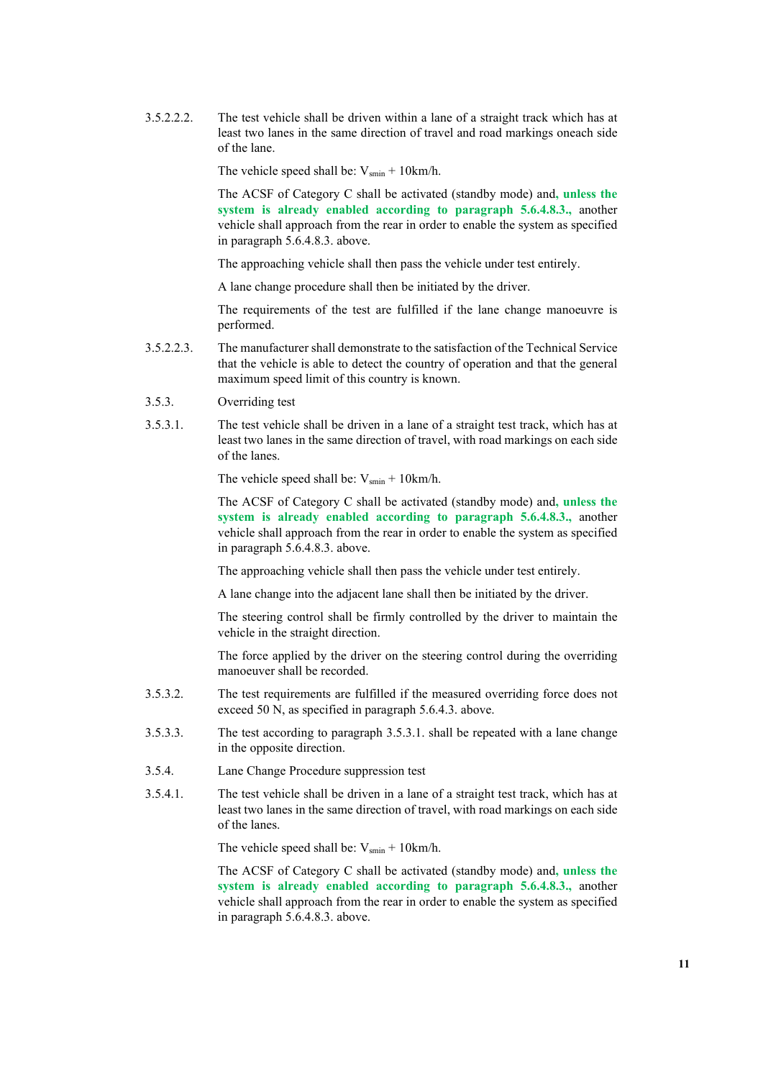3.5.2.2.2. The test vehicle shall be driven within a lane of a straight track which has at least two lanes in the same direction of travel and road markings oneach side of the lane.

The vehicle speed shall be:  $V_{\text{smin}} + 10 \text{km/h}$ .

The ACSF of Category C shall be activated (standby mode) and**, unless the system is already enabled according to paragraph 5.6.4.8.3.,** another vehicle shall approach from the rear in order to enable the system as specified in paragraph 5.6.4.8.3. above.

The approaching vehicle shall then pass the vehicle under test entirely.

A lane change procedure shall then be initiated by the driver.

The requirements of the test are fulfilled if the lane change manoeuvre is performed.

- 3.5.2.2.3. The manufacturer shall demonstrate to the satisfaction of the Technical Service that the vehicle is able to detect the country of operation and that the general maximum speed limit of this country is known.
- 3.5.3. Overriding test
- 3.5.3.1. The test vehicle shall be driven in a lane of a straight test track, which has at least two lanes in the same direction of travel, with road markings on each side of the lanes.

The vehicle speed shall be:  $V_{smin}$  + 10km/h.

The ACSF of Category C shall be activated (standby mode) and**, unless the system is already enabled according to paragraph 5.6.4.8.3.,** another vehicle shall approach from the rear in order to enable the system as specified in paragraph 5.6.4.8.3. above.

The approaching vehicle shall then pass the vehicle under test entirely.

A lane change into the adjacent lane shall then be initiated by the driver.

The steering control shall be firmly controlled by the driver to maintain the vehicle in the straight direction.

The force applied by the driver on the steering control during the overriding manoeuver shall be recorded.

- 3.5.3.2. The test requirements are fulfilled if the measured overriding force does not exceed 50 N, as specified in paragraph 5.6.4.3. above.
- 3.5.3.3. The test according to paragraph 3.5.3.1. shall be repeated with a lane change in the opposite direction.
- 3.5.4. Lane Change Procedure suppression test
- 3.5.4.1. The test vehicle shall be driven in a lane of a straight test track, which has at least two lanes in the same direction of travel, with road markings on each side of the lanes.

The vehicle speed shall be:  $V_{smin} + 10km/h$ .

The ACSF of Category C shall be activated (standby mode) and**, unless the system is already enabled according to paragraph 5.6.4.8.3.,** another vehicle shall approach from the rear in order to enable the system as specified in paragraph 5.6.4.8.3. above.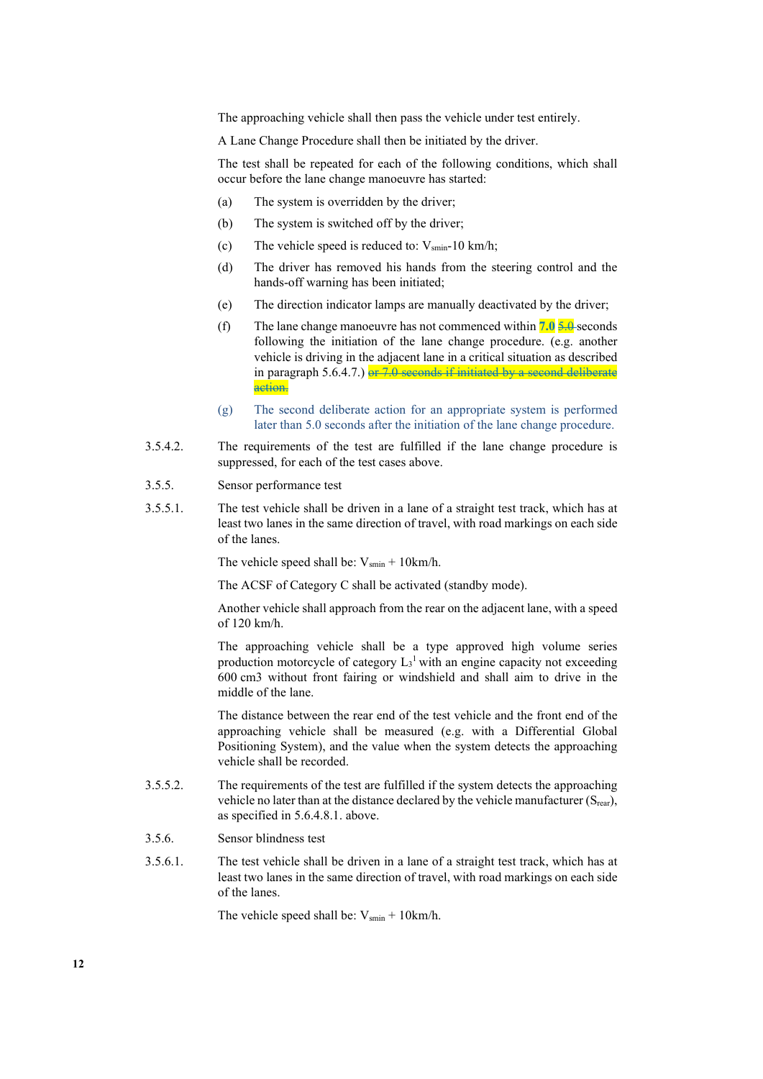The approaching vehicle shall then pass the vehicle under test entirely.

A Lane Change Procedure shall then be initiated by the driver.

The test shall be repeated for each of the following conditions, which shall occur before the lane change manoeuvre has started:

- (a) The system is overridden by the driver;
- (b) The system is switched off by the driver;
- (c) The vehicle speed is reduced to:  $V_{\text{smin}}$ -10 km/h;
- (d) The driver has removed his hands from the steering control and the hands-off warning has been initiated;
- (e) The direction indicator lamps are manually deactivated by the driver;
- (f) The lane change manoeuvre has not commenced within **7.0** 5.0 seconds following the initiation of the lane change procedure. (e.g. another vehicle is driving in the adjacent lane in a critical situation as described in paragraph  $5.6.4.7.$ ) or  $7.0$  seconds if initiated by a second deliberate action.
- (g) The second deliberate action for an appropriate system is performed later than 5.0 seconds after the initiation of the lane change procedure.
- 3.5.4.2. The requirements of the test are fulfilled if the lane change procedure is suppressed, for each of the test cases above.
- 3.5.5. Sensor performance test
- 3.5.5.1. The test vehicle shall be driven in a lane of a straight test track, which has at least two lanes in the same direction of travel, with road markings on each side of the lanes.

The vehicle speed shall be:  $V_{\text{smin}} + 10 \text{km/h}$ .

The ACSF of Category C shall be activated (standby mode).

Another vehicle shall approach from the rear on the adjacent lane, with a speed of 120 km/h.

The approaching vehicle shall be a type approved high volume series production motorcycle of category  $L_3$ <sup>1</sup> with an engine capacity not exceeding 600 cm3 without front fairing or windshield and shall aim to drive in the middle of the lane.

The distance between the rear end of the test vehicle and the front end of the approaching vehicle shall be measured (e.g. with a Differential Global Positioning System), and the value when the system detects the approaching vehicle shall be recorded.

- 3.5.5.2. The requirements of the test are fulfilled if the system detects the approaching vehicle no later than at the distance declared by the vehicle manufacturer  $(S_{\text{rear}})$ , as specified in 5.6.4.8.1. above.
- 3.5.6. Sensor blindness test
- 3.5.6.1. The test vehicle shall be driven in a lane of a straight test track, which has at least two lanes in the same direction of travel, with road markings on each side of the lanes.

The vehicle speed shall be:  $V_{\text{smin}} + 10 \text{km/h}$ .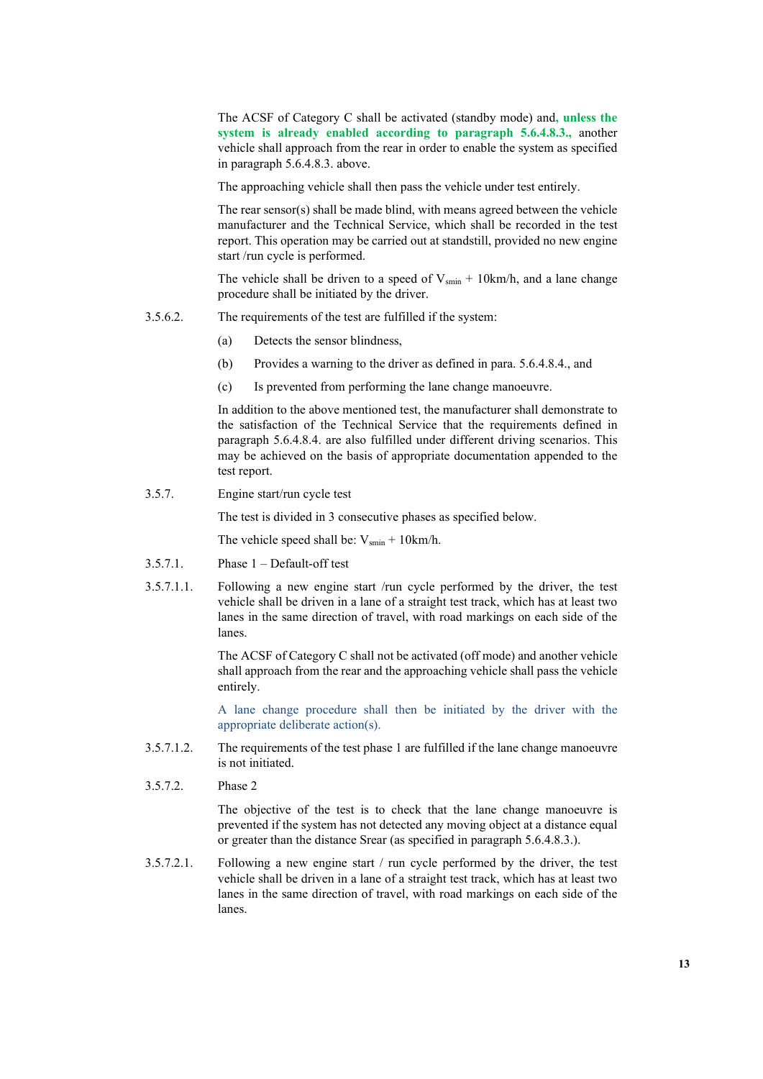The ACSF of Category C shall be activated (standby mode) and**, unless the system is already enabled according to paragraph 5.6.4.8.3.,** another vehicle shall approach from the rear in order to enable the system as specified in paragraph 5.6.4.8.3. above.

The approaching vehicle shall then pass the vehicle under test entirely.

The rear sensor(s) shall be made blind, with means agreed between the vehicle manufacturer and the Technical Service, which shall be recorded in the test report. This operation may be carried out at standstill, provided no new engine start /run cycle is performed.

The vehicle shall be driven to a speed of  $V_{smin} + 10km/h$ , and a lane change procedure shall be initiated by the driver.

- 3.5.6.2. The requirements of the test are fulfilled if the system:
	- (a) Detects the sensor blindness,
	- (b) Provides a warning to the driver as defined in para. 5.6.4.8.4., and
	- (c) Is prevented from performing the lane change manoeuvre.

In addition to the above mentioned test, the manufacturer shall demonstrate to the satisfaction of the Technical Service that the requirements defined in paragraph 5.6.4.8.4. are also fulfilled under different driving scenarios. This may be achieved on the basis of appropriate documentation appended to the test report.

3.5.7. Engine start/run cycle test

The test is divided in 3 consecutive phases as specified below.

The vehicle speed shall be:  $V_{\text{smin}} + 10 \text{km/h}$ .

- 3.5.7.1. Phase 1 Default-off test
- 3.5.7.1.1. Following a new engine start /run cycle performed by the driver, the test vehicle shall be driven in a lane of a straight test track, which has at least two lanes in the same direction of travel, with road markings on each side of the lanes.

The ACSF of Category C shall not be activated (off mode) and another vehicle shall approach from the rear and the approaching vehicle shall pass the vehicle entirely.

A lane change procedure shall then be initiated by the driver with the appropriate deliberate action(s).

- 3.5.7.1.2. The requirements of the test phase 1 are fulfilled if the lane change manoeuvre is not initiated.
- 3.5.7.2. Phase 2

The objective of the test is to check that the lane change manoeuvre is prevented if the system has not detected any moving object at a distance equal or greater than the distance Srear (as specified in paragraph 5.6.4.8.3.).

3.5.7.2.1. Following a new engine start / run cycle performed by the driver, the test vehicle shall be driven in a lane of a straight test track, which has at least two lanes in the same direction of travel, with road markings on each side of the lanes.